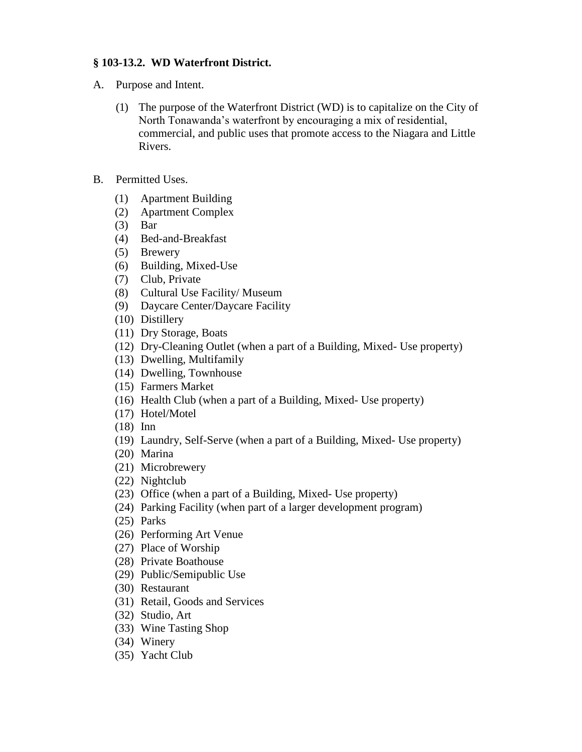## **§ 103-13.2. WD Waterfront District.**

- A. Purpose and Intent.
	- (1) The purpose of the Waterfront District (WD) is to capitalize on the City of North Tonawanda's waterfront by encouraging a mix of residential, commercial, and public uses that promote access to the Niagara and Little Rivers.
- B. Permitted Uses.
	- (1) Apartment Building
	- (2) Apartment Complex
	- (3) Bar
	- (4) Bed-and-Breakfast
	- (5) Brewery
	- (6) Building, Mixed-Use
	- (7) Club, Private
	- (8) Cultural Use Facility/ Museum
	- (9) Daycare Center/Daycare Facility
	- (10) Distillery
	- (11) Dry Storage, Boats
	- (12) Dry-Cleaning Outlet (when a part of a Building, Mixed- Use property)
	- (13) Dwelling, Multifamily
	- (14) Dwelling, Townhouse
	- (15) Farmers Market
	- (16) Health Club (when a part of a Building, Mixed- Use property)
	- (17) Hotel/Motel
	- (18) Inn
	- (19) Laundry, Self-Serve (when a part of a Building, Mixed- Use property)
	- (20) Marina
	- (21) Microbrewery
	- (22) Nightclub
	- (23) Office (when a part of a Building, Mixed- Use property)
	- (24) Parking Facility (when part of a larger development program)
	- (25) Parks
	- (26) Performing Art Venue
	- (27) Place of Worship
	- (28) Private Boathouse
	- (29) Public/Semipublic Use
	- (30) Restaurant
	- (31) Retail, Goods and Services
	- (32) Studio, Art
	- (33) Wine Tasting Shop
	- (34) Winery
	- (35) Yacht Club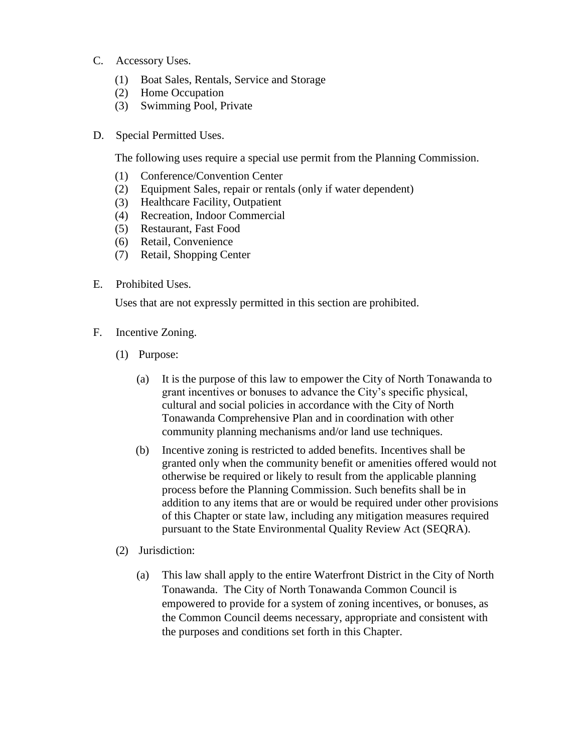- C. Accessory Uses.
	- (1) Boat Sales, Rentals, Service and Storage
	- (2) Home Occupation
	- (3) Swimming Pool, Private
- D. Special Permitted Uses.

The following uses require a special use permit from the Planning Commission.

- (1) Conference/Convention Center
- (2) Equipment Sales, repair or rentals (only if water dependent)
- (3) Healthcare Facility, Outpatient
- (4) Recreation, Indoor Commercial
- (5) Restaurant, Fast Food
- (6) Retail, Convenience
- (7) Retail, Shopping Center
- E. Prohibited Uses.

Uses that are not expressly permitted in this section are prohibited.

- F. Incentive Zoning.
	- (1) Purpose:
		- (a) It is the purpose of this law to empower the City of North Tonawanda to grant incentives or bonuses to advance the City's specific physical, cultural and social policies in accordance with the City of North Tonawanda Comprehensive Plan and in coordination with other community planning mechanisms and/or land use techniques.
		- (b) Incentive zoning is restricted to added benefits. Incentives shall be granted only when the community benefit or amenities offered would not otherwise be required or likely to result from the applicable planning process before the Planning Commission. Such benefits shall be in addition to any items that are or would be required under other provisions of this Chapter or state law, including any mitigation measures required pursuant to the State Environmental Quality Review Act (SEQRA).
	- (2) Jurisdiction:
		- (a) This law shall apply to the entire Waterfront District in the City of North Tonawanda. The City of North Tonawanda Common Council is empowered to provide for a system of zoning incentives, or bonuses, as the Common Council deems necessary, appropriate and consistent with the purposes and conditions set forth in this Chapter.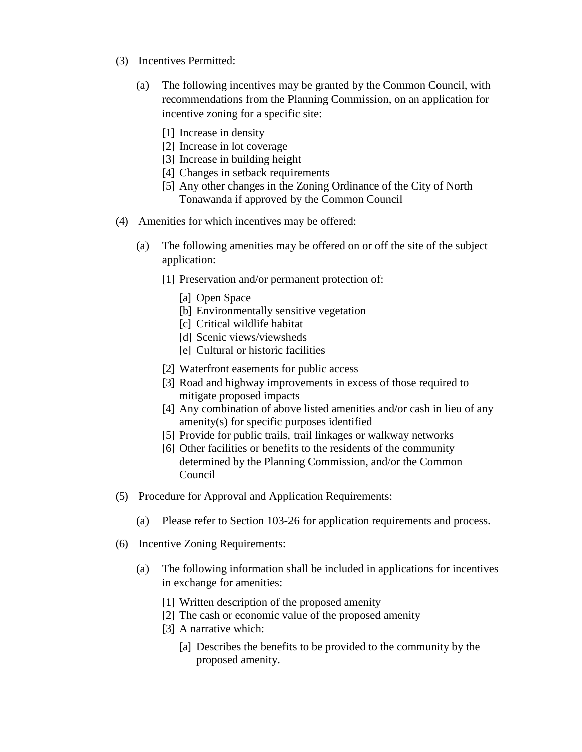- (3) Incentives Permitted:
	- (a) The following incentives may be granted by the Common Council, with recommendations from the Planning Commission, on an application for incentive zoning for a specific site:
		- [1] Increase in density
		- [2] Increase in lot coverage
		- [3] Increase in building height
		- [4] Changes in setback requirements
		- [5] Any other changes in the Zoning Ordinance of the City of North Tonawanda if approved by the Common Council
- (4) Amenities for which incentives may be offered:
	- (a) The following amenities may be offered on or off the site of the subject application:
		- [1] Preservation and/or permanent protection of:
			- [a] Open Space
			- [b] Environmentally sensitive vegetation
			- [c] Critical wildlife habitat
			- [d] Scenic views/viewsheds
			- [e] Cultural or historic facilities
		- [2] Waterfront easements for public access
		- [3] Road and highway improvements in excess of those required to mitigate proposed impacts
		- [4] Any combination of above listed amenities and/or cash in lieu of any amenity(s) for specific purposes identified
		- [5] Provide for public trails, trail linkages or walkway networks
		- [6] Other facilities or benefits to the residents of the community determined by the Planning Commission, and/or the Common Council
- (5) Procedure for Approval and Application Requirements:
	- (a) Please refer to Section 103-26 for application requirements and process.
- (6) Incentive Zoning Requirements:
	- (a) The following information shall be included in applications for incentives in exchange for amenities:
		- [1] Written description of the proposed amenity
		- [2] The cash or economic value of the proposed amenity
		- [3] A narrative which:
			- [a] Describes the benefits to be provided to the community by the proposed amenity.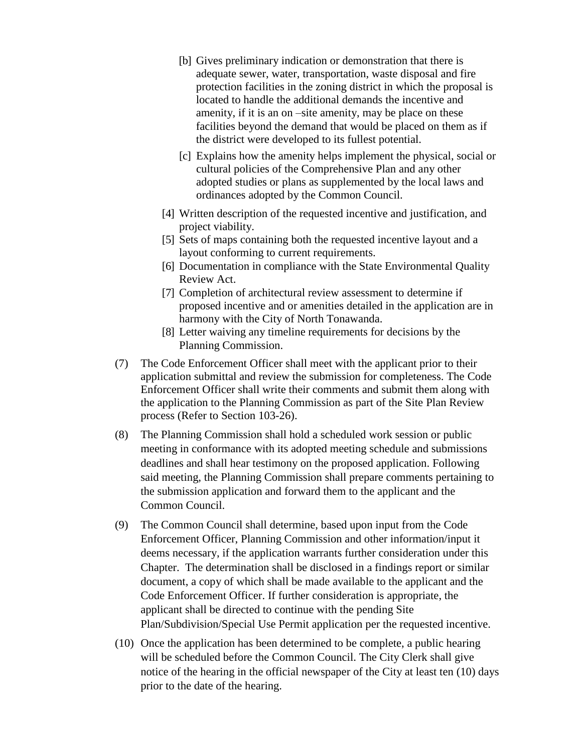- [b] Gives preliminary indication or demonstration that there is adequate sewer, water, transportation, waste disposal and fire protection facilities in the zoning district in which the proposal is located to handle the additional demands the incentive and amenity, if it is an on –site amenity, may be place on these facilities beyond the demand that would be placed on them as if the district were developed to its fullest potential.
- [c] Explains how the amenity helps implement the physical, social or cultural policies of the Comprehensive Plan and any other adopted studies or plans as supplemented by the local laws and ordinances adopted by the Common Council.
- [4] Written description of the requested incentive and justification, and project viability.
- [5] Sets of maps containing both the requested incentive layout and a layout conforming to current requirements.
- [6] Documentation in compliance with the State Environmental Quality Review Act.
- [7] Completion of architectural review assessment to determine if proposed incentive and or amenities detailed in the application are in harmony with the City of North Tonawanda.
- [8] Letter waiving any timeline requirements for decisions by the Planning Commission.
- (7) The Code Enforcement Officer shall meet with the applicant prior to their application submittal and review the submission for completeness. The Code Enforcement Officer shall write their comments and submit them along with the application to the Planning Commission as part of the Site Plan Review process (Refer to Section 103-26).
- (8) The Planning Commission shall hold a scheduled work session or public meeting in conformance with its adopted meeting schedule and submissions deadlines and shall hear testimony on the proposed application. Following said meeting, the Planning Commission shall prepare comments pertaining to the submission application and forward them to the applicant and the Common Council.
- (9) The Common Council shall determine, based upon input from the Code Enforcement Officer, Planning Commission and other information/input it deems necessary, if the application warrants further consideration under this Chapter. The determination shall be disclosed in a findings report or similar document, a copy of which shall be made available to the applicant and the Code Enforcement Officer. If further consideration is appropriate, the applicant shall be directed to continue with the pending Site Plan/Subdivision/Special Use Permit application per the requested incentive.
- (10) Once the application has been determined to be complete, a public hearing will be scheduled before the Common Council. The City Clerk shall give notice of the hearing in the official newspaper of the City at least ten (10) days prior to the date of the hearing.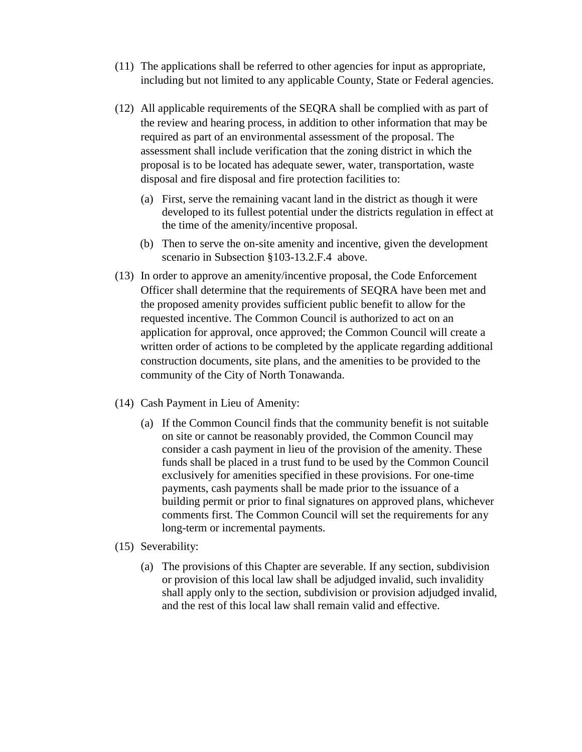- (11) The applications shall be referred to other agencies for input as appropriate, including but not limited to any applicable County, State or Federal agencies.
- (12) All applicable requirements of the SEQRA shall be complied with as part of the review and hearing process, in addition to other information that may be required as part of an environmental assessment of the proposal. The assessment shall include verification that the zoning district in which the proposal is to be located has adequate sewer, water, transportation, waste disposal and fire disposal and fire protection facilities to:
	- (a) First, serve the remaining vacant land in the district as though it were developed to its fullest potential under the districts regulation in effect at the time of the amenity/incentive proposal.
	- (b) Then to serve the on-site amenity and incentive, given the development scenario in Subsection §103-13.2.F.4 above.
- (13) In order to approve an amenity/incentive proposal, the Code Enforcement Officer shall determine that the requirements of SEQRA have been met and the proposed amenity provides sufficient public benefit to allow for the requested incentive. The Common Council is authorized to act on an application for approval, once approved; the Common Council will create a written order of actions to be completed by the applicate regarding additional construction documents, site plans, and the amenities to be provided to the community of the City of North Tonawanda.
- (14) Cash Payment in Lieu of Amenity:
	- (a) If the Common Council finds that the community benefit is not suitable on site or cannot be reasonably provided, the Common Council may consider a cash payment in lieu of the provision of the amenity. These funds shall be placed in a trust fund to be used by the Common Council exclusively for amenities specified in these provisions. For one-time payments, cash payments shall be made prior to the issuance of a building permit or prior to final signatures on approved plans, whichever comments first. The Common Council will set the requirements for any long-term or incremental payments.
- (15) Severability:
	- (a) The provisions of this Chapter are severable. If any section, subdivision or provision of this local law shall be adjudged invalid, such invalidity shall apply only to the section, subdivision or provision adjudged invalid, and the rest of this local law shall remain valid and effective.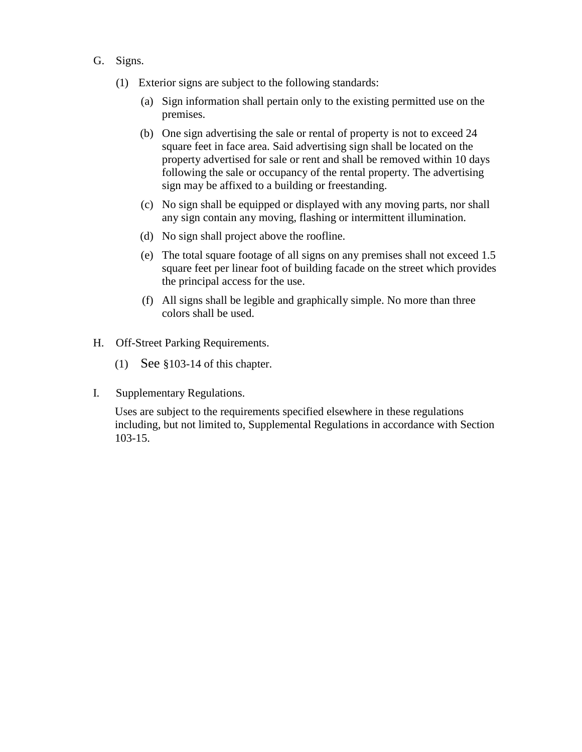- G. Signs.
	- (1) Exterior signs are subject to the following standards:
		- (a) Sign information shall pertain only to the existing permitted use on the premises.
		- (b) One sign advertising the sale or rental of property is not to exceed 24 square feet in face area. Said advertising sign shall be located on the property advertised for sale or rent and shall be removed within 10 days following the sale or occupancy of the rental property. The advertising sign may be affixed to a building or freestanding.
		- (c) No sign shall be equipped or displayed with any moving parts, nor shall any sign contain any moving, flashing or intermittent illumination.
		- (d) No sign shall project above the roofline.
		- (e) The total square footage of all signs on any premises shall not exceed 1.5 square feet per linear foot of building facade on the street which provides the principal access for the use.
		- (f) All signs shall be legible and graphically simple. No more than three colors shall be used.
- H. Off-Street Parking Requirements.
	- (1) See §103-14 of this chapter.
- I. Supplementary Regulations.

Uses are subject to the requirements specified elsewhere in these regulations including, but not limited to, Supplemental Regulations in accordance with Section 103-15.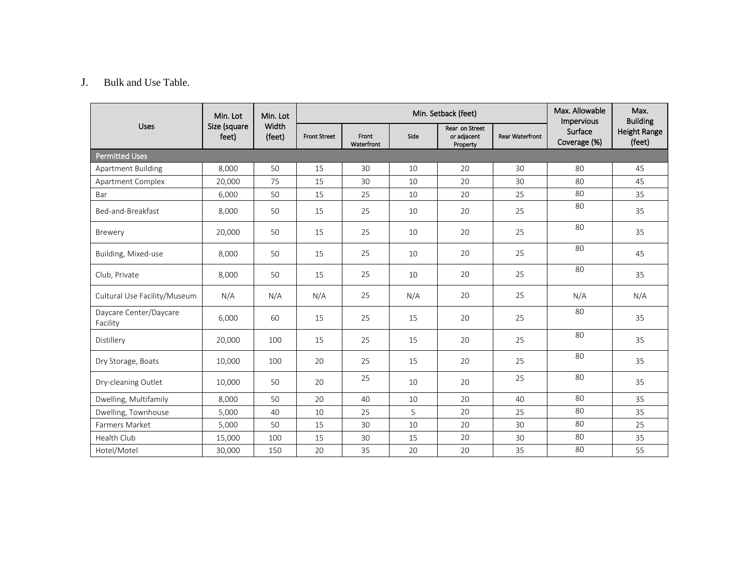## J. Bulk and Use Table.

|                                    | Min. Lot<br>Size (square<br>feet) | Min. Lot<br>Width<br>(feet) |                     |                     | Max. Allowable<br>Impervious | Max.<br><b>Building</b>                   |                        |                         |                        |
|------------------------------------|-----------------------------------|-----------------------------|---------------------|---------------------|------------------------------|-------------------------------------------|------------------------|-------------------------|------------------------|
| <b>Uses</b>                        |                                   |                             | <b>Front Street</b> | Front<br>Waterfront | Side                         | Rear on Street<br>or adjacent<br>Property | <b>Rear Waterfront</b> | Surface<br>Coverage (%) | Height Range<br>(feet) |
| <b>Permitted Uses</b>              |                                   |                             |                     |                     |                              |                                           |                        |                         |                        |
| <b>Apartment Building</b>          | 8,000                             | 50                          | 15                  | 30                  | 10                           | 20                                        | 30                     | 80                      | 45                     |
| Apartment Complex                  | 20,000                            | 75                          | 15                  | 30                  | 10                           | 20                                        | 30                     | 80                      | 45                     |
| Bar                                | 6,000                             | 50                          | 15                  | 25                  | 10                           | 20                                        | 25                     | 80                      | 35                     |
| Bed-and-Breakfast                  | 8,000                             | 50                          | 15                  | 25                  | 10                           | 20                                        | 25                     | 80                      | 35                     |
| Brewery                            | 20,000                            | 50                          | 15                  | 25                  | 10                           | 20                                        | 25                     | 80                      | 35                     |
| Building, Mixed-use                | 8,000                             | 50                          | 15                  | 25                  | 10                           | 20                                        | 25                     | 80                      | 45                     |
| Club, Private                      | 8,000                             | 50                          | 15                  | 25                  | 10                           | 20                                        | 25                     | 80                      | 35                     |
| Cultural Use Facility/Museum       | N/A                               | N/A                         | N/A                 | 25                  | N/A                          | 20                                        | 25                     | N/A                     | N/A                    |
| Daycare Center/Daycare<br>Facility | 6,000                             | 60                          | 15                  | 25                  | 15                           | 20                                        | 25                     | 80                      | 35                     |
| Distillery                         | 20,000                            | 100                         | 15                  | 25                  | 15                           | 20                                        | 25                     | 80                      | 35                     |
| Dry Storage, Boats                 | 10,000                            | 100                         | 20                  | 25                  | 15                           | 20                                        | 25                     | 80                      | 35                     |
| Dry-cleaning Outlet                | 10,000                            | 50                          | 20                  | 25                  | 10                           | 20                                        | 25                     | 80                      | 35                     |
| Dwelling, Multifamily              | 8,000                             | 50                          | 20                  | 40                  | 10                           | 20                                        | 40                     | 80                      | 35                     |
| Dwelling, Townhouse                | 5,000                             | 40                          | 10                  | 25                  | 5                            | 20                                        | 25                     | 80                      | 35                     |
| Farmers Market                     | 5,000                             | 50                          | 15                  | 30                  | 10                           | 20                                        | 30                     | 80                      | 25                     |
| Health Club                        | 15,000                            | 100                         | 15                  | 30                  | 15                           | 20                                        | 30                     | 80                      | 35                     |
| Hotel/Motel                        | 30,000                            | 150                         | 20                  | 35                  | 20                           | 20                                        | 35                     | 80                      | 55                     |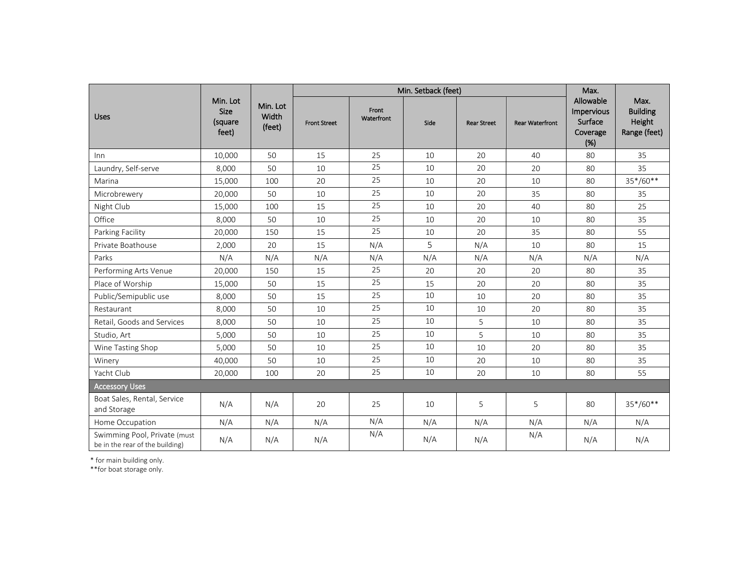|                                                                 | Min. Lot<br><b>Size</b><br>(square<br>feet) | Min. Lot<br>Width<br>(feet) |                     | Max.                |      |                    |                        |                                                       |                                                   |
|-----------------------------------------------------------------|---------------------------------------------|-----------------------------|---------------------|---------------------|------|--------------------|------------------------|-------------------------------------------------------|---------------------------------------------------|
| <b>Uses</b>                                                     |                                             |                             | <b>Front Street</b> | Front<br>Waterfront | Side | <b>Rear Street</b> | <b>Rear Waterfront</b> | Allowable<br>Impervious<br>Surface<br>Coverage<br>(%) | Max.<br><b>Building</b><br>Height<br>Range (feet) |
| Inn                                                             | 10.000                                      | 50                          | 15                  | 25                  | 10   | 20                 | 40                     | 80                                                    | 35                                                |
| Laundry, Self-serve                                             | 8,000                                       | 50                          | 10                  | 25                  | 10   | 20                 | 20                     | 80                                                    | 35                                                |
| Marina                                                          | 15,000                                      | 100                         | 20                  | 25                  | 10   | 20                 | 10                     | 80                                                    | 35*/60**                                          |
| Microbrewerv                                                    | 20,000                                      | 50                          | 10                  | 25                  | 10   | 20                 | 35                     | 80                                                    | 35                                                |
| Night Club                                                      | 15,000                                      | 100                         | 15                  | 25                  | 10   | 20                 | 40                     | 80                                                    | 25                                                |
| Office                                                          | 8,000                                       | 50                          | 10                  | 25                  | 10   | 20                 | 10                     | 80                                                    | 35                                                |
| Parking Facility                                                | 20,000                                      | 150                         | 15                  | 25                  | 10   | 20                 | 35                     | 80                                                    | 55                                                |
| Private Boathouse                                               | 2,000                                       | 20                          | 15                  | N/A                 | 5    | N/A                | 10                     | 80                                                    | 15                                                |
| Parks                                                           | N/A                                         | N/A                         | N/A                 | N/A                 | N/A  | N/A                | N/A                    | N/A                                                   | N/A                                               |
| Performing Arts Venue                                           | 20,000                                      | 150                         | 15                  | 25                  | 20   | 20                 | 20                     | 80                                                    | 35                                                |
| Place of Worship                                                | 15,000                                      | 50                          | 15                  | 25                  | 15   | 20                 | 20                     | 80                                                    | 35                                                |
| Public/Semipublic use                                           | 8,000                                       | 50                          | 15                  | 25                  | 10   | 10                 | 20                     | 80                                                    | 35                                                |
| Restaurant                                                      | 8,000                                       | 50                          | 10                  | 25                  | 10   | 10                 | 20                     | 80                                                    | 35                                                |
| Retail, Goods and Services                                      | 8,000                                       | 50                          | 10                  | 25                  | 10   | 5                  | 10                     | 80                                                    | 35                                                |
| Studio, Art                                                     | 5,000                                       | 50                          | 10                  | 25                  | 10   | 5                  | 10                     | 80                                                    | 35                                                |
| Wine Tasting Shop                                               | 5,000                                       | 50                          | 10                  | 25                  | 10   | 10                 | 20                     | 80                                                    | 35                                                |
| Winery                                                          | 40,000                                      | 50                          | 10                  | 25                  | 10   | 20                 | 10                     | 80                                                    | 35                                                |
| Yacht Club                                                      | 20.000                                      | 100                         | 20                  | 25                  | 10   | 20                 | 10                     | 80                                                    | 55                                                |
| <b>Accessory Uses</b>                                           |                                             |                             |                     |                     |      |                    |                        |                                                       |                                                   |
| Boat Sales, Rental, Service<br>and Storage                      | N/A                                         | N/A                         | 20                  | 25                  | 10   | 5                  | 5                      | 80                                                    | 35*/60**                                          |
| Home Occupation                                                 | N/A                                         | N/A                         | N/A                 | N/A                 | N/A  | N/A                | N/A                    | N/A                                                   | N/A                                               |
| Swimming Pool, Private (must<br>be in the rear of the building) | N/A                                         | N/A                         | N/A                 | N/A                 | N/A  | N/A                | N/A                    | N/A                                                   | N/A                                               |

\* for main building only.

\*\*for boat storage only.